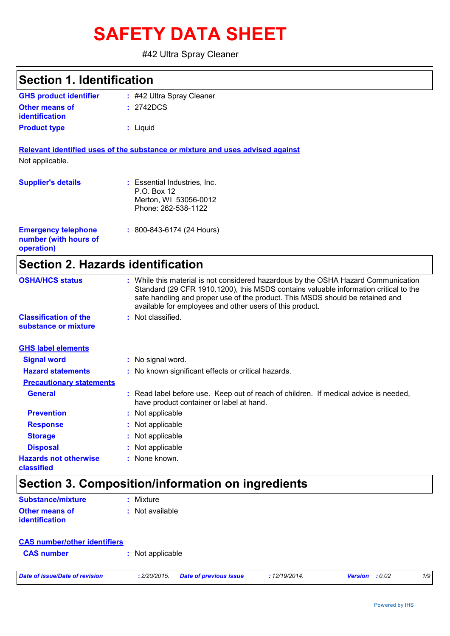# **SAFETY DATA SHEET**

### #42 Ultra Spray Cleaner

# **Section 1. Identification**

| <b>GHS product identifier</b> | $\div$ #42 Ultra Spray Cleaner |
|-------------------------------|--------------------------------|
| <b>Other means of</b>         | : 2742DCS                      |
| <b>identification</b>         |                                |
| <b>Product type</b>           | : Liquid                       |

**Relevant identified uses of the substance or mixture and uses advised against** Not applicable.

|  |  | . |  |  |  |  |  |  |
|--|--|---|--|--|--|--|--|--|
|  |  |   |  |  |  |  |  |  |
|  |  |   |  |  |  |  |  |  |
|  |  |   |  |  |  |  |  |  |

| <b>Supplier's details</b>                                         | : Essential Industries, Inc.<br>P.O. Box 12<br>Merton, WI 53056-0012<br>Phone: 262-538-1122 |
|-------------------------------------------------------------------|---------------------------------------------------------------------------------------------|
| <b>Emergency telephone</b><br>number (with hours of<br>operation) | $: 800 - 843 - 6174$ (24 Hours)                                                             |

# **Section 2. Hazards identification**

| <b>OSHA/HCS status</b>                               | : While this material is not considered hazardous by the OSHA Hazard Communication<br>Standard (29 CFR 1910.1200), this MSDS contains valuable information critical to the<br>safe handling and proper use of the product. This MSDS should be retained and<br>available for employees and other users of this product. |
|------------------------------------------------------|-------------------------------------------------------------------------------------------------------------------------------------------------------------------------------------------------------------------------------------------------------------------------------------------------------------------------|
| <b>Classification of the</b><br>substance or mixture | : Not classified.                                                                                                                                                                                                                                                                                                       |
| <b>GHS label elements</b>                            |                                                                                                                                                                                                                                                                                                                         |
| <b>Signal word</b>                                   | : No signal word.                                                                                                                                                                                                                                                                                                       |
| <b>Hazard statements</b>                             | : No known significant effects or critical hazards.                                                                                                                                                                                                                                                                     |
| <b>Precautionary statements</b>                      |                                                                                                                                                                                                                                                                                                                         |
| <b>General</b>                                       | : Read label before use. Keep out of reach of children. If medical advice is needed,<br>have product container or label at hand.                                                                                                                                                                                        |
| <b>Prevention</b>                                    | : Not applicable                                                                                                                                                                                                                                                                                                        |
| <b>Response</b>                                      | : Not applicable                                                                                                                                                                                                                                                                                                        |
| <b>Storage</b>                                       | : Not applicable                                                                                                                                                                                                                                                                                                        |
| <b>Disposal</b>                                      | : Not applicable                                                                                                                                                                                                                                                                                                        |
| <b>Hazards not otherwise</b><br>classified           | : None known.                                                                                                                                                                                                                                                                                                           |

# **Section 3. Composition/information on ingredients**

| <b>Substance/mixture</b> | : Mixture         |
|--------------------------|-------------------|
| <b>Other means of</b>    | $:$ Not available |
| <b>identification</b>    |                   |

| <b>CAS number/other identifiers</b> |                  |
|-------------------------------------|------------------|
| <b>CAS number</b>                   | : Not applicable |
|                                     |                  |

| Date of issue/Date of revision | : 2/20/2015. Date of previous issue | 12/19/2014. | <b>Version</b> : 0.02 |  |
|--------------------------------|-------------------------------------|-------------|-----------------------|--|
|                                |                                     |             |                       |  |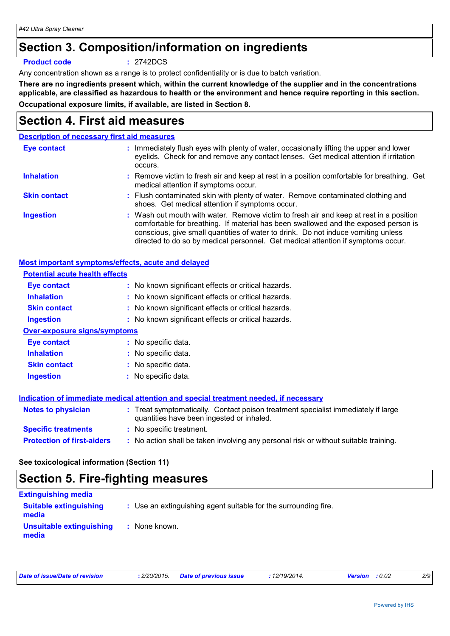# **Section 3. Composition/information on ingredients**

#### **Product code :** 2742DCS

Any concentration shown as a range is to protect confidentiality or is due to batch variation.

**There are no ingredients present which, within the current knowledge of the supplier and in the concentrations applicable, are classified as hazardous to health or the environment and hence require reporting in this section. Occupational exposure limits, if available, are listed in Section 8.**

# **Section 4. First aid measures**

### **Description of necessary first aid measures**

| <b>Eye contact</b>  | : Immediately flush eyes with plenty of water, occasionally lifting the upper and lower<br>eyelids. Check for and remove any contact lenses. Get medical attention if irritation<br>occurs.                                                                                                                                                            |
|---------------------|--------------------------------------------------------------------------------------------------------------------------------------------------------------------------------------------------------------------------------------------------------------------------------------------------------------------------------------------------------|
| <b>Inhalation</b>   | : Remove victim to fresh air and keep at rest in a position comfortable for breathing. Get<br>medical attention if symptoms occur.                                                                                                                                                                                                                     |
| <b>Skin contact</b> | : Flush contaminated skin with plenty of water. Remove contaminated clothing and<br>shoes. Get medical attention if symptoms occur.                                                                                                                                                                                                                    |
| <b>Ingestion</b>    | : Wash out mouth with water. Remove victim to fresh air and keep at rest in a position<br>comfortable for breathing. If material has been swallowed and the exposed person is<br>conscious, give small quantities of water to drink. Do not induce vomiting unless<br>directed to do so by medical personnel. Get medical attention if symptoms occur. |

### **Most important symptoms/effects, acute and delayed**

| <b>Potential acute health effects</b> |                                                                                                                                |
|---------------------------------------|--------------------------------------------------------------------------------------------------------------------------------|
| Eye contact                           | : No known significant effects or critical hazards.                                                                            |
| <b>Inhalation</b>                     | : No known significant effects or critical hazards.                                                                            |
| <b>Skin contact</b>                   | : No known significant effects or critical hazards.                                                                            |
| <b>Ingestion</b>                      | : No known significant effects or critical hazards.                                                                            |
| <b>Over-exposure signs/symptoms</b>   |                                                                                                                                |
| Eye contact                           | : No specific data.                                                                                                            |
| <b>Inhalation</b>                     | : No specific data.                                                                                                            |
| <b>Skin contact</b>                   | : No specific data.                                                                                                            |
| <b>Ingestion</b>                      | : No specific data.                                                                                                            |
|                                       | Indication of immediate medical attention and special treatment needed, if necessary                                           |
| <b>Notes to physician</b>             | : Treat symptomatically. Contact poison treatment specialist immediately if large<br>quantities have been ingested or inhaled. |
| <b>Specific treatments</b>            | : No specific treatment.                                                                                                       |
| <b>Protection of first-aiders</b>     | : No action shall be taken involving any personal risk or without suitable training.                                           |

**See toxicological information (Section 11)**

# **Section 5. Fire-fighting measures**

| <b>Extinguishing media</b>             |                                                                 |
|----------------------------------------|-----------------------------------------------------------------|
| <b>Suitable extinguishing</b><br>media | : Use an extinguishing agent suitable for the surrounding fire. |
| Unsuitable extinguishing<br>media      | : None known.                                                   |

| Date of issue/Date of revision | : 2/20/2015 Date of previous issue | : 12/19/2014. | <b>Version</b> : 0.02 | 2/9 |
|--------------------------------|------------------------------------|---------------|-----------------------|-----|
|                                |                                    |               |                       |     |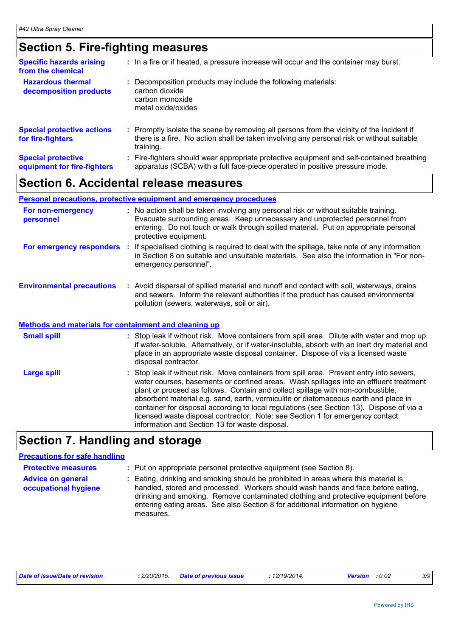# **Section 5. Fire-fighting measures**

| <b>Specific hazards arising</b><br>from the chemical     | : In a fire or if heated, a pressure increase will occur and the container may burst.                                                                                                               |
|----------------------------------------------------------|-----------------------------------------------------------------------------------------------------------------------------------------------------------------------------------------------------|
| <b>Hazardous thermal</b><br>decomposition products       | Decomposition products may include the following materials:<br>carbon dioxide<br>carbon monoxide<br>metal oxide/oxides                                                                              |
| <b>Special protective actions</b><br>for fire-fighters   | : Promptly isolate the scene by removing all persons from the vicinity of the incident if<br>there is a fire. No action shall be taken involving any personal risk or without suitable<br>training. |
| <b>Special protective</b><br>equipment for fire-fighters | Fire-fighters should wear appropriate protective equipment and self-contained breathing<br>apparatus (SCBA) with a full face-piece operated in positive pressure mode.                              |

# **Section 6. Accidental release measures**

### **Personal precautions, protective equipment and emergency procedures**

| For non-emergency<br>personnel                               | : No action shall be taken involving any personal risk or without suitable training.<br>Evacuate surrounding areas. Keep unnecessary and unprotected personnel from<br>entering. Do not touch or walk through spilled material. Put on appropriate personal<br>protective equipment. |
|--------------------------------------------------------------|--------------------------------------------------------------------------------------------------------------------------------------------------------------------------------------------------------------------------------------------------------------------------------------|
| For emergency responders                                     | If specialised clothing is required to deal with the spillage, take note of any information<br>in Section 8 on suitable and unsuitable materials. See also the information in "For non-<br>emergency personnel".                                                                     |
| <b>Environmental precautions</b>                             | : Avoid dispersal of spilled material and runoff and contact with soil, waterways, drains<br>and sewers. Inform the relevant authorities if the product has caused environmental<br>pollution (sewers, waterways, soil or air).                                                      |
| <b>Methods and materials for containment and cleaning up</b> |                                                                                                                                                                                                                                                                                      |
| <b>Small spill</b>                                           | : Stop leak if without risk. Move containers from spill area. Dilute with water and mop up<br>if water-soluble. Alternatively, or if water-insoluble, absorb with an inert dry material and                                                                                          |

|             | place in an appropriate waste disposal container. Dispose of via a licensed waste<br>disposal contractor.                                                                                                                                                                                                                                                                                                                                                                                                                                |
|-------------|------------------------------------------------------------------------------------------------------------------------------------------------------------------------------------------------------------------------------------------------------------------------------------------------------------------------------------------------------------------------------------------------------------------------------------------------------------------------------------------------------------------------------------------|
| Large spill | : Stop leak if without risk. Move containers from spill area. Prevent entry into sewers,<br>water courses, basements or confined areas. Wash spillages into an effluent treatment<br>plant or proceed as follows. Contain and collect spillage with non-combustible,<br>absorbent material e.g. sand, earth, vermiculite or diatomaceous earth and place in<br>container for disposal according to local regulations (see Section 13). Dispose of via a<br>licensed waste disposal contractor. Note: see Section 1 for emergency contact |

information and Section 13 for waste disposal.

# **Section 7. Handling and storage**

### **Precautions for safe handling**

| <b>Protective measures</b>                       | : Put on appropriate personal protective equipment (see Section 8).                                                                                                                                                                                                                                                                                         |
|--------------------------------------------------|-------------------------------------------------------------------------------------------------------------------------------------------------------------------------------------------------------------------------------------------------------------------------------------------------------------------------------------------------------------|
| <b>Advice on general</b><br>occupational hygiene | Eating, drinking and smoking should be prohibited in areas where this material is<br>handled, stored and processed. Workers should wash hands and face before eating,<br>drinking and smoking. Remove contaminated clothing and protective equipment before<br>entering eating areas. See also Section 8 for additional information on hygiene<br>measures. |

| Date of issue/Date of revision |  | : 2/20/2015. Date of previous issue | : 12/19/2014. | <b>Version</b> : 0.02 |  |
|--------------------------------|--|-------------------------------------|---------------|-----------------------|--|
|--------------------------------|--|-------------------------------------|---------------|-----------------------|--|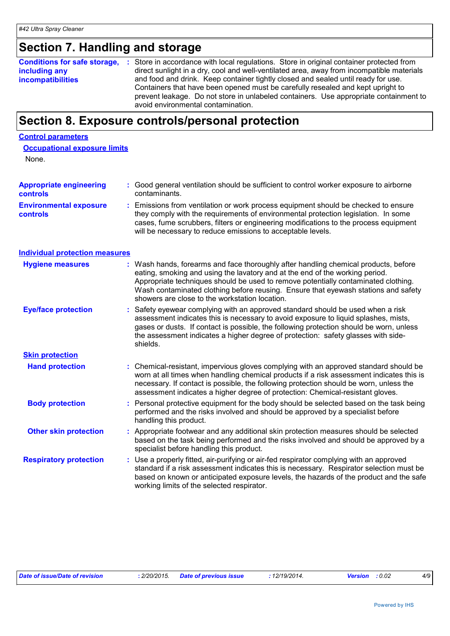# **Section 7. Handling and storage**

| <b>Conditions for safe storage,</b> | : Store in accordance with local regulations. Store in original container protected from  |
|-------------------------------------|-------------------------------------------------------------------------------------------|
| including any                       | direct sunlight in a dry, cool and well-ventilated area, away from incompatible materials |
| <b>incompatibilities</b>            | and food and drink. Keep container tightly closed and sealed until ready for use.         |
|                                     | Containers that have been opened must be carefully resealed and kept upright to           |
|                                     | prevent leakage. Do not store in unlabeled containers. Use appropriate containment to     |
|                                     | avoid environmental contamination.                                                        |

# **Section 8. Exposure controls/personal protection**

#### **Control parameters**

| <b>Occupational exposure limits</b> |  |  |
|-------------------------------------|--|--|
|                                     |  |  |

None.

| <b>Appropriate engineering</b><br><b>controls</b> | : Good general ventilation should be sufficient to control worker exposure to airborne<br>contaminants.                                                                                                                                                                                                                                                                                           |
|---------------------------------------------------|---------------------------------------------------------------------------------------------------------------------------------------------------------------------------------------------------------------------------------------------------------------------------------------------------------------------------------------------------------------------------------------------------|
| <b>Environmental exposure</b><br>controls         | Emissions from ventilation or work process equipment should be checked to ensure<br>they comply with the requirements of environmental protection legislation. In some<br>cases, fume scrubbers, filters or engineering modifications to the process equipment<br>will be necessary to reduce emissions to acceptable levels.                                                                     |
| <b>Individual protection measures</b>             |                                                                                                                                                                                                                                                                                                                                                                                                   |
| <b>Hygiene measures</b>                           | : Wash hands, forearms and face thoroughly after handling chemical products, before<br>eating, smoking and using the lavatory and at the end of the working period.<br>Appropriate techniques should be used to remove potentially contaminated clothing.<br>Wash contaminated clothing before reusing. Ensure that eyewash stations and safety<br>showers are close to the workstation location. |
| <b>Eye/face protection</b>                        | Safety eyewear complying with an approved standard should be used when a risk<br>assessment indicates this is necessary to avoid exposure to liquid splashes, mists,<br>gases or dusts. If contact is possible, the following protection should be worn, unless<br>the assessment indicates a higher degree of protection: safety glasses with side-<br>shields.                                  |
| <b>Skin protection</b>                            |                                                                                                                                                                                                                                                                                                                                                                                                   |
| <b>Hand protection</b>                            | : Chemical-resistant, impervious gloves complying with an approved standard should be<br>worn at all times when handling chemical products if a risk assessment indicates this is<br>necessary. If contact is possible, the following protection should be worn, unless the<br>assessment indicates a higher degree of protection: Chemical-resistant gloves.                                     |
| <b>Body protection</b>                            | Personal protective equipment for the body should be selected based on the task being<br>performed and the risks involved and should be approved by a specialist before<br>handling this product.                                                                                                                                                                                                 |
| <b>Other skin protection</b>                      | : Appropriate footwear and any additional skin protection measures should be selected<br>based on the task being performed and the risks involved and should be approved by a<br>specialist before handling this product.                                                                                                                                                                         |
| <b>Respiratory protection</b>                     | Use a properly fitted, air-purifying or air-fed respirator complying with an approved<br>standard if a risk assessment indicates this is necessary. Respirator selection must be<br>based on known or anticipated exposure levels, the hazards of the product and the safe<br>working limits of the selected respirator.                                                                          |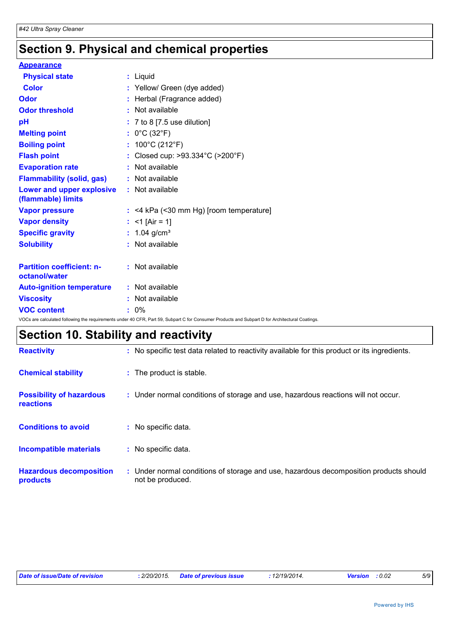# **Section 9. Physical and chemical properties**

| <b>Appearance</b>                                 |                                                                                                                                                 |
|---------------------------------------------------|-------------------------------------------------------------------------------------------------------------------------------------------------|
| <b>Physical state</b>                             | : Liquid                                                                                                                                        |
| <b>Color</b>                                      | : Yellow/ Green (dye added)                                                                                                                     |
| Odor                                              | : Herbal (Fragrance added)                                                                                                                      |
| <b>Odor threshold</b>                             | $:$ Not available                                                                                                                               |
| рH                                                | $: 7$ to 8 [7.5 use dilution]                                                                                                                   |
| <b>Melting point</b>                              | : $0^{\circ}$ C (32 $^{\circ}$ F)                                                                                                               |
| <b>Boiling point</b>                              | : $100^{\circ}$ C (212 $^{\circ}$ F)                                                                                                            |
| <b>Flash point</b>                                | : Closed cup: $>93.334^{\circ}$ C ( $>200^{\circ}$ F)                                                                                           |
| <b>Evaporation rate</b>                           | : Not available                                                                                                                                 |
| <b>Flammability (solid, gas)</b>                  | : Not available                                                                                                                                 |
| Lower and upper explosive<br>(flammable) limits   | : Not available                                                                                                                                 |
| <b>Vapor pressure</b>                             | $:$ <4 kPa (<30 mm Hg) [room temperature]                                                                                                       |
| <b>Vapor density</b>                              | : <1 [Air = 1]                                                                                                                                  |
| <b>Specific gravity</b>                           | : $1.04$ g/cm <sup>3</sup>                                                                                                                      |
| <b>Solubility</b>                                 | $:$ Not available                                                                                                                               |
| <b>Partition coefficient: n-</b><br>octanol/water | $:$ Not available                                                                                                                               |
| <b>Auto-ignition temperature</b>                  | : Not available                                                                                                                                 |
| <b>Viscosity</b>                                  | $:$ Not available                                                                                                                               |
| <b>VOC content</b>                                | $: 0\%$                                                                                                                                         |
|                                                   | VOCs are calculated following the requirements under 40 CFR, Part 59, Subpart C for Consumer Products and Subpart D for Architectural Coatings. |

# **Section 10. Stability and reactivity**

| <b>Reactivity</b>                                   | : No specific test data related to reactivity available for this product or its ingredients.              |
|-----------------------------------------------------|-----------------------------------------------------------------------------------------------------------|
| <b>Chemical stability</b>                           | : The product is stable.                                                                                  |
| <b>Possibility of hazardous</b><br><b>reactions</b> | : Under normal conditions of storage and use, hazardous reactions will not occur.                         |
| <b>Conditions to avoid</b>                          | No specific data.                                                                                         |
| Incompatible materials                              | No specific data.                                                                                         |
| <b>Hazardous decomposition</b><br>products          | : Under normal conditions of storage and use, hazardous decomposition products should<br>not be produced. |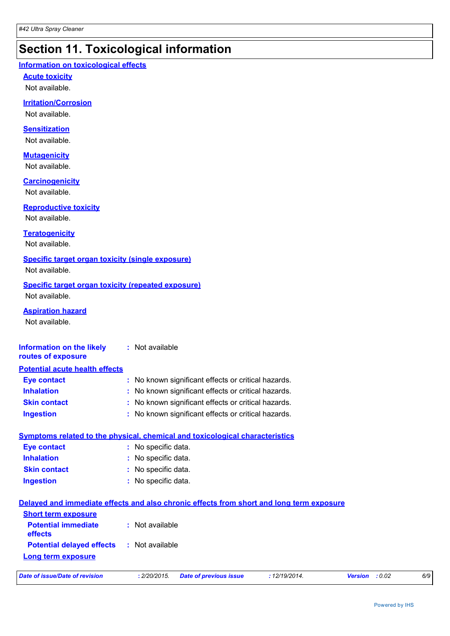# **Section 11. Toxicological information**

### **Information on toxicological effects**

**Acute toxicity**

Not available.

### **Irritation/Corrosion**

Not available.

### **Sensitization**

Not available.

## **Mutagenicity**

Not available.

### **Carcinogenicity**

Not available.

## **Reproductive toxicity**

Not available.

### **Teratogenicity**

Not available.

## **Specific target organ toxicity (single exposure)**

Not available.

#### **Specific target organ toxicity (repeated exposure)** Not available.

### **Aspiration hazard**

Not available.

#### **Information on the likely routes of exposure :** Not available

| <b>Potential acute health effects</b> |                                                     |
|---------------------------------------|-----------------------------------------------------|
| <b>Eye contact</b>                    | : No known significant effects or critical hazards. |
| <b>Inhalation</b>                     | : No known significant effects or critical hazards. |
| <b>Skin contact</b>                   | : No known significant effects or critical hazards. |
| <b>Ingestion</b>                      | : No known significant effects or critical hazards. |

|                     | Symptoms related to the physical, chemical and toxicological characteristics |
|---------------------|------------------------------------------------------------------------------|
| Eye contact         | : No specific data.                                                          |
| <b>Inhalation</b>   | : No specific data.                                                          |
| <b>Skin contact</b> | : No specific data.                                                          |
| <b>Ingestion</b>    | : No specific data.                                                          |
|                     |                                                                              |

| Delayed and immediate effects and also chronic effects from short and long term exposure |                 |                        |             |                       |     |
|------------------------------------------------------------------------------------------|-----------------|------------------------|-------------|-----------------------|-----|
| <b>Short term exposure</b><br><b>Potential immediate</b><br><b>effects</b>               | : Not available |                        |             |                       |     |
| <b>Potential delayed effects : Not available</b><br><b>Long term exposure</b>            |                 |                        |             |                       |     |
| Date of issue/Date of revision                                                           | : 2/20/2015.    | Date of previous issue | :12/19/2014 | <b>Version</b> : 0.02 | 6/9 |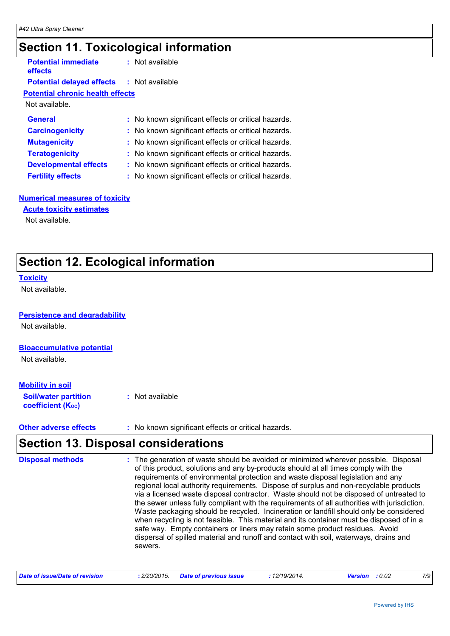# **Section 11. Toxicological information**

| <b>Potential immediate</b><br>effects            | : Not available                                     |
|--------------------------------------------------|-----------------------------------------------------|
| <b>Potential delayed effects : Not available</b> |                                                     |
| <b>Potential chronic health effects</b>          |                                                     |
| Not available.                                   |                                                     |
| <b>General</b>                                   | : No known significant effects or critical hazards. |
| <b>Carcinogenicity</b>                           | : No known significant effects or critical hazards. |
| <b>Mutagenicity</b>                              | : No known significant effects or critical hazards. |
| <b>Teratogenicity</b>                            | : No known significant effects or critical hazards. |
| <b>Developmental effects</b>                     | : No known significant effects or critical hazards. |
| <b>Fertility effects</b>                         | : No known significant effects or critical hazards. |
|                                                  |                                                     |

### **Numerical measures of toxicity**

Not available. **Acute toxicity estimates**

# **Section 12. Ecological information**

#### **Toxicity**

Not available.

### **Persistence and degradability**

Not available.

#### **Bioaccumulative potential**

Not available.

### **Mobility in soil**

| <b>Soil/water partition</b> | : Not available |
|-----------------------------|-----------------|
| <b>coefficient (Koc)</b>    |                 |

**Other adverse effects** : No known significant effects or critical hazards.

# **Section 13. Disposal considerations**

| <b>Disposal methods</b> | : The generation of waste should be avoided or minimized wherever possible. Disposal<br>of this product, solutions and any by-products should at all times comply with the<br>requirements of environmental protection and waste disposal legislation and any<br>regional local authority requirements. Dispose of surplus and non-recyclable products<br>via a licensed waste disposal contractor. Waste should not be disposed of untreated to<br>the sewer unless fully compliant with the requirements of all authorities with jurisdiction.<br>Waste packaging should be recycled. Incineration or landfill should only be considered<br>when recycling is not feasible. This material and its container must be disposed of in a<br>safe way. Empty containers or liners may retain some product residues. Avoid<br>dispersal of spilled material and runoff and contact with soil, waterways, drains and<br>sewers. |
|-------------------------|----------------------------------------------------------------------------------------------------------------------------------------------------------------------------------------------------------------------------------------------------------------------------------------------------------------------------------------------------------------------------------------------------------------------------------------------------------------------------------------------------------------------------------------------------------------------------------------------------------------------------------------------------------------------------------------------------------------------------------------------------------------------------------------------------------------------------------------------------------------------------------------------------------------------------|
|                         |                                                                                                                                                                                                                                                                                                                                                                                                                                                                                                                                                                                                                                                                                                                                                                                                                                                                                                                            |

| Date of issue/Date of revision | : 2/20/2015. Date of previous issue | : 12/19/2014. | <b>Version</b> : 0.02 |  |
|--------------------------------|-------------------------------------|---------------|-----------------------|--|
|--------------------------------|-------------------------------------|---------------|-----------------------|--|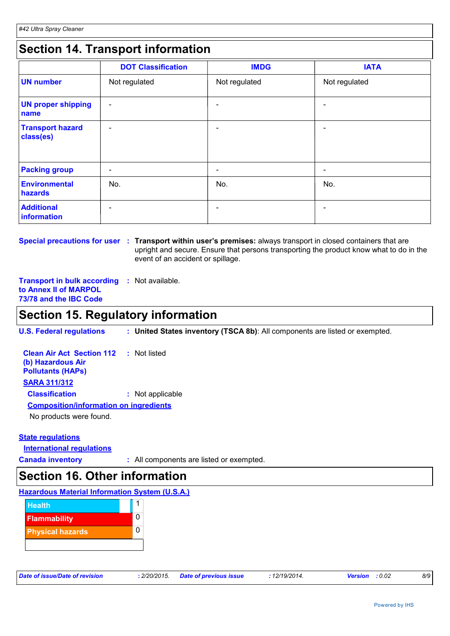# **Section 14. Transport information**

|                                      | <b>DOT Classification</b> | <b>IMDG</b>     | <b>IATA</b>                  |
|--------------------------------------|---------------------------|-----------------|------------------------------|
| <b>UN number</b>                     | Not regulated             | Not regulated   | Not regulated                |
| <b>UN proper shipping</b><br>name    | $\overline{\phantom{a}}$  | $\qquad \qquad$ | $\qquad \qquad \blacksquare$ |
| <b>Transport hazard</b><br>class(es) | $\overline{\phantom{a}}$  | $\qquad \qquad$ | $\overline{\phantom{0}}$     |
| <b>Packing group</b>                 | $\overline{\phantom{a}}$  | $\qquad \qquad$ | $\qquad \qquad \blacksquare$ |
| <b>Environmental</b><br>hazards      | No.                       | No.             | No.                          |
| <b>Additional</b><br>information     | $\qquad \qquad$           |                 |                              |

**Special precautions for user** : Transport within user's premises: always transport in closed containers that are upright and secure. Ensure that persons transporting the product know what to do in the event of an accident or spillage.

**Transport in bulk according :** Not available. **to Annex II of MARPOL 73/78 and the IBC Code**

# **Section 15. Regulatory information**

**U.S. Federal regulations : United States inventory (TSCA 8b)**: All components are listed or exempted.

| <b>Clean Air Act Section 112 : Not listed</b> |                  |
|-----------------------------------------------|------------------|
| (b) Hazardous Air<br><b>Pollutants (HAPs)</b> |                  |
| <b>SARA 311/312</b>                           |                  |
| <b>Classification</b>                         | : Not applicable |
| <b>Composition/information on ingredients</b> |                  |
| No products were found.                       |                  |

### **State regulations**

**International regulations**

**Canada inventory :** All components are listed or exempted.

# **Section 16. Other information**

### **Hazardous Material Information System (U.S.A.)**



| Date of issue/Date of revision |  |
|--------------------------------|--|
|--------------------------------|--|

*Date of issue/Date of revision* **:** *2/20/2015. Date of previous issue : 12/19/2014. Version : 0.02 8/9*